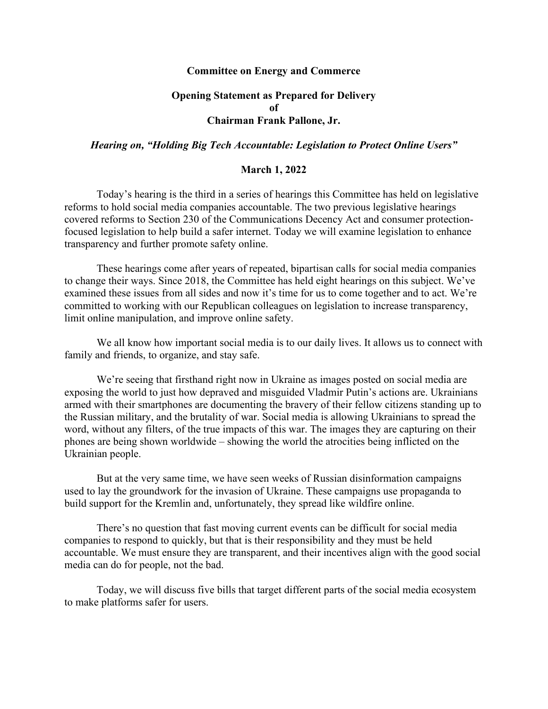## **Committee on Energy and Commerce**

## **Opening Statement as Prepared for Delivery of Chairman Frank Pallone, Jr.**

## *Hearing on, "Holding Big Tech Accountable: Legislation to Protect Online Users"*

## **March 1, 2022**

Today's hearing is the third in a series of hearings this Committee has held on legislative reforms to hold social media companies accountable. The two previous legislative hearings covered reforms to Section 230 of the Communications Decency Act and consumer protectionfocused legislation to help build a safer internet. Today we will examine legislation to enhance transparency and further promote safety online.

These hearings come after years of repeated, bipartisan calls for social media companies to change their ways. Since 2018, the Committee has held eight hearings on this subject. We've examined these issues from all sides and now it's time for us to come together and to act. We're committed to working with our Republican colleagues on legislation to increase transparency, limit online manipulation, and improve online safety.

We all know how important social media is to our daily lives. It allows us to connect with family and friends, to organize, and stay safe.

We're seeing that firsthand right now in Ukraine as images posted on social media are exposing the world to just how depraved and misguided Vladmir Putin's actions are. Ukrainians armed with their smartphones are documenting the bravery of their fellow citizens standing up to the Russian military, and the brutality of war. Social media is allowing Ukrainians to spread the word, without any filters, of the true impacts of this war. The images they are capturing on their phones are being shown worldwide – showing the world the atrocities being inflicted on the Ukrainian people.

But at the very same time, we have seen weeks of Russian disinformation campaigns used to lay the groundwork for the invasion of Ukraine. These campaigns use propaganda to build support for the Kremlin and, unfortunately, they spread like wildfire online.

There's no question that fast moving current events can be difficult for social media companies to respond to quickly, but that is their responsibility and they must be held accountable. We must ensure they are transparent, and their incentives align with the good social media can do for people, not the bad.

Today, we will discuss five bills that target different parts of the social media ecosystem to make platforms safer for users.